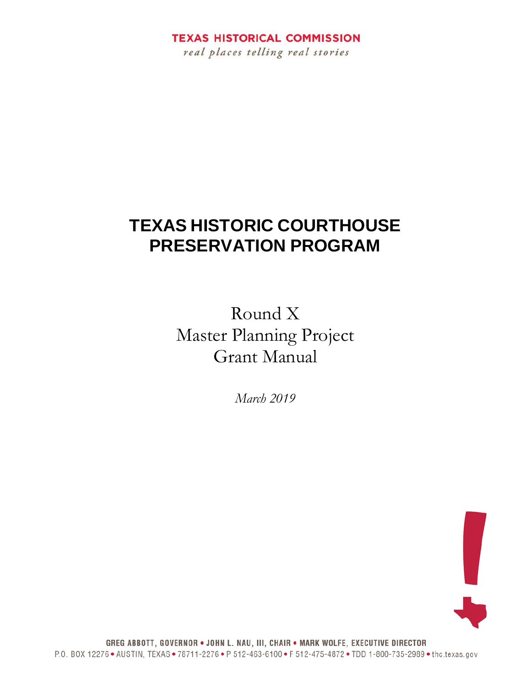real places telling real stories

# **TEXAS HISTORIC COURTHOUSE PRESERVATION PROGRAM**

Round X Master Planning Project Grant Manual

*March 2019*

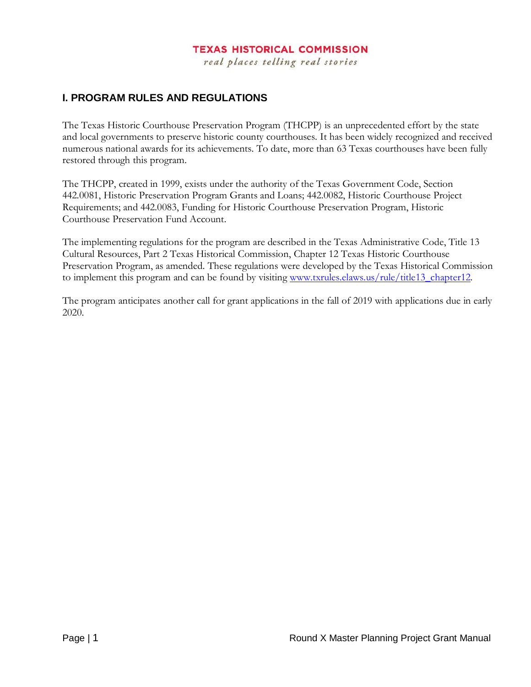real places telling real stories

## **I. PROGRAM RULES AND REGULATIONS**

The Texas Historic Courthouse Preservation Program (THCPP) is an unprecedented effort by the state and local governments to preserve historic county courthouses. It has been widely recognized and received numerous national awards for its achievements. To date, more than 63 Texas courthouses have been fully restored through this program.

The THCPP, created in 1999, exists under the authority of the Texas Government Code, Section 442.0081, Historic Preservation Program Grants and Loans; 442.0082, Historic Courthouse Project Requirements; and 442.0083, Funding for Historic Courthouse Preservation Program, Historic Courthouse Preservation Fund Account.

The implementing regulations for the program are described in the Texas Administrative Code, Title 13 Cultural Resources, Part 2 Texas Historical Commission, Chapter 12 Texas Historic Courthouse Preservation Program, as amended. These regulations were developed by the Texas Historical Commission to implement this program and can be found by visiting www.txrules.elaws.us/rule/title13 chapter12.

The program anticipates another call for grant applications in the fall of 2019 with applications due in early 2020.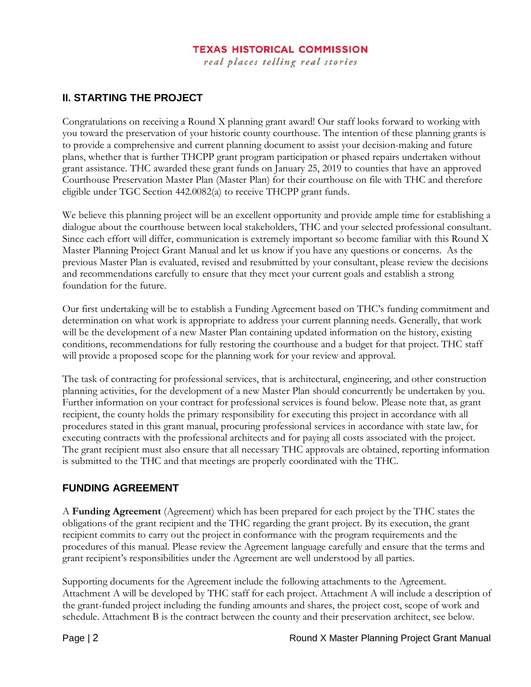real places telling real stories

## **II. STARTING THE PROJECT**

Congratulations on receiving a Round X planning grant award! Our staff looks forward to working with you toward the preservation of your historic county courthouse. The intention of these planning grants is to provide a comprehensive and current planning document to assist your decision-making and future plans, whether that is further THCPP grant program participation or phased repairs undertaken without grant assistance. THC awarded these grant funds on January 25, 2019 to counties that have an approved Courthouse Preservation Master Plan (Master Plan) for their courthouse on file with THC and therefore eligible under TGC Section 442.0082(a) to receive THCPP grant funds.

We believe this planning project will be an excellent opportunity and provide ample time for establishing a dialogue about the courthouse between local stakeholders, THC and your selected professional consultant. Since each effort will differ, communication is extremely important so become familiar with this Round X Master Planning Project Grant Manual and let us know if you have any questions or concerns. As the previous Master Plan is evaluated, revised and resubmitted by your consultant, please review the decisions and recommendations carefully to ensure that they meet your current goals and establish a strong foundation for the future.

Our first undertaking will be to establish a Funding Agreement based on THC's funding commitment and determination on what work is appropriate to address your current planning needs. Generally, that work will be the development of a new Master Plan containing updated information on the history, existing conditions, recommendations for fully restoring the courthouse and a budget for that project. THC staff will provide a proposed scope for the planning work for your review and approval.

The task of contracting for professional services, that is architectural, engineering, and other construction planning activities, for the development of a new Master Plan should concurrently be undertaken by you. Further information on your contract for professional services is found below. Please note that, as grant recipient, the county holds the primary responsibility for executing this project in accordance with all procedures stated in this grant manual, procuring professional services in accordance with state law, for executing contracts with the professional architects and for paying all costs associated with the project. The grant recipient must also ensure that all necessary THC approvals are obtained, reporting information is submitted to the THC and that meetings are properly coordinated with the THC.

## **FUNDING AGREEMENT**

A **Funding Agreement** (Agreement) which has been prepared for each project by the THC states the obligations of the grant recipient and the THC regarding the grant project. By its execution, the grant recipient commits to carry out the project in conformance with the program requirements and the procedures of this manual. Please review the Agreement language carefully and ensure that the terms and grant recipient's responsibilities under the Agreement are well understood by all parties.

Supporting documents for the Agreement include the following attachments to the Agreement. Attachment A will be developed by THC staff for each project. Attachment A will include a description of the grant-funded project including the funding amounts and shares, the project cost, scope of work and schedule. Attachment B is the contract between the county and their preservation architect, see below.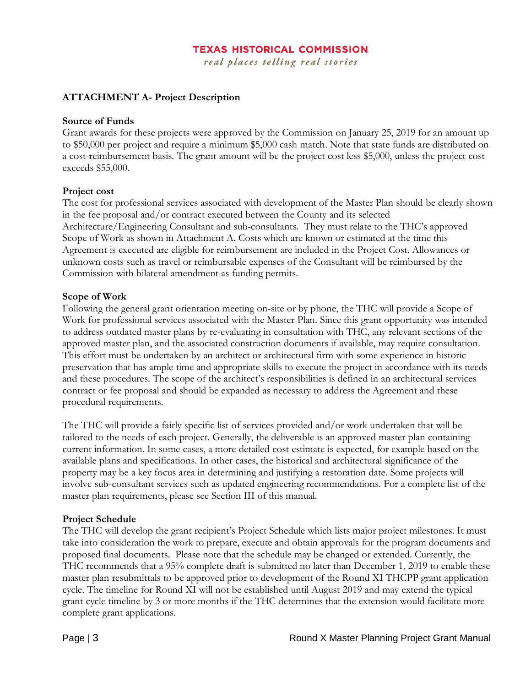real places telling real stories

#### **ATTACHMENT A- Project Description**

#### **Source of Funds**

Grant awards for these projects were approved by the Commission on January 25, 2019 for an amount up to \$50,000 per project and require a minimum \$5,000 cash match. Note that state funds are distributed on a cost-reimbursement basis. The grant amount will be the project cost less \$5,000, unless the project cost exceeds \$55,000.

#### **Project cost**

The cost for professional services associated with development of the Master Plan should be clearly shown in the fee proposal and/or contract executed between the County and its selected Architecture/Engineering Consultant and sub-consultants. They must relate to the THC's approved Scope of Work as shown in Attachment A. Costs which are known or estimated at the time this Agreement is executed are eligible for reimbursement are included in the Project Cost. Allowances or unknown costs such as travel or reimbursable expenses of the Consultant will be reimbursed by the Commission with bilateral amendment as funding permits.

#### **Scope of Work**

Following the general grant orientation meeting on-site or by phone, the THC will provide a Scope of Work for professional services associated with the Master Plan. Since this grant opportunity was intended to address outdated master plans by re-evaluating in consultation with THC, any relevant sections of the approved master plan, and the associated construction documents if available, may require consultation. This effort must be undertaken by an architect or architectural firm with some experience in historic preservation that has ample time and appropriate skills to execute the project in accordance with its needs and these procedures. The scope of the architect's responsibilities is defined in an architectural services contract or fee proposal and should be expanded as necessary to address the Agreement and these procedural requirements.

The THC will provide a fairly specific list of services provided and/or work undertaken that will be tailored to the needs of each project. Generally, the deliverable is an approved master plan containing current information. In some cases, a more detailed cost estimate is expected, for example based on the available plans and specifications. In other cases, the historical and architectural significance of the property may be a key focus area in determining and justifying a restoration date. Some projects will involve sub-consultant services such as updated engineering recommendations. For a complete list of the master plan requirements, please see Section III of this manual.

#### **Project Schedule**

The THC will develop the grant recipient's Project Schedule which lists major project milestones. It must take into consideration the work to prepare, execute and obtain approvals for the program documents and proposed final documents. Please note that the schedule may be changed or extended. Currently, the THC recommends that a 95% complete draft is submitted no later than December 1, 2019 to enable these master plan resubmittals to be approved prior to development of the Round XI THCPP grant application cycle. The timeline for Round XI will not be established until August 2019 and may extend the typical grant cycle timeline by 3 or more months if the THC determines that the extension would facilitate more complete grant applications.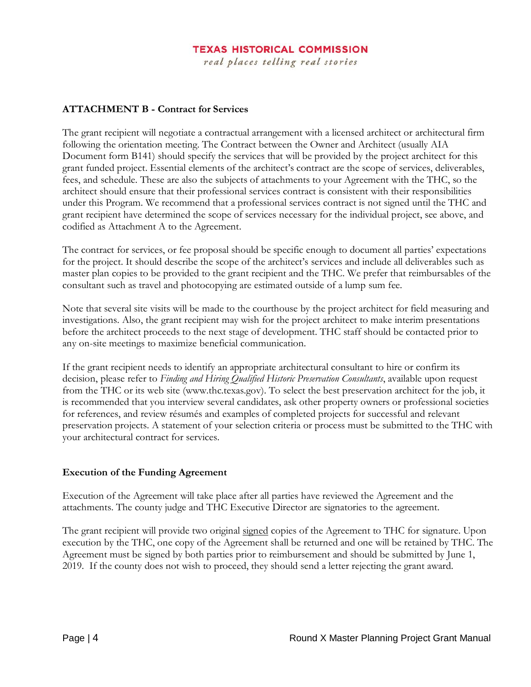real places telling real stories

#### **ATTACHMENT B - Contract for Services**

The grant recipient will negotiate a contractual arrangement with a licensed architect or architectural firm following the orientation meeting. The Contract between the Owner and Architect (usually AIA Document form B141) should specify the services that will be provided by the project architect for this grant funded project. Essential elements of the architect's contract are the scope of services, deliverables, fees, and schedule. These are also the subjects of attachments to your Agreement with the THC, so the architect should ensure that their professional services contract is consistent with their responsibilities under this Program. We recommend that a professional services contract is not signed until the THC and grant recipient have determined the scope of services necessary for the individual project, see above, and codified as Attachment A to the Agreement.

The contract for services, or fee proposal should be specific enough to document all parties' expectations for the project. It should describe the scope of the architect's services and include all deliverables such as master plan copies to be provided to the grant recipient and the THC. We prefer that reimbursables of the consultant such as travel and photocopying are estimated outside of a lump sum fee.

Note that several site visits will be made to the courthouse by the project architect for field measuring and investigations. Also, the grant recipient may wish for the project architect to make interim presentations before the architect proceeds to the next stage of development. THC staff should be contacted prior to any on-site meetings to maximize beneficial communication.

If the grant recipient needs to identify an appropriate architectural consultant to hire or confirm its decision, please refer to *Finding and Hiring Qualified Historic Preservation Consultants*, available upon request from the THC or its web site (www.thc.texas.gov). To select the best preservation architect for the job, it is recommended that you interview several candidates, ask other property owners or professional societies for references, and review résumés and examples of completed projects for successful and relevant preservation projects. A statement of your selection criteria or process must be submitted to the THC with your architectural contract for services.

#### **Execution of the Funding Agreement**

Execution of the Agreement will take place after all parties have reviewed the Agreement and the attachments. The county judge and THC Executive Director are signatories to the agreement.

The grant recipient will provide two original signed copies of the Agreement to THC for signature. Upon execution by the THC, one copy of the Agreement shall be returned and one will be retained by THC. The Agreement must be signed by both parties prior to reimbursement and should be submitted by June 1, 2019. If the county does not wish to proceed, they should send a letter rejecting the grant award.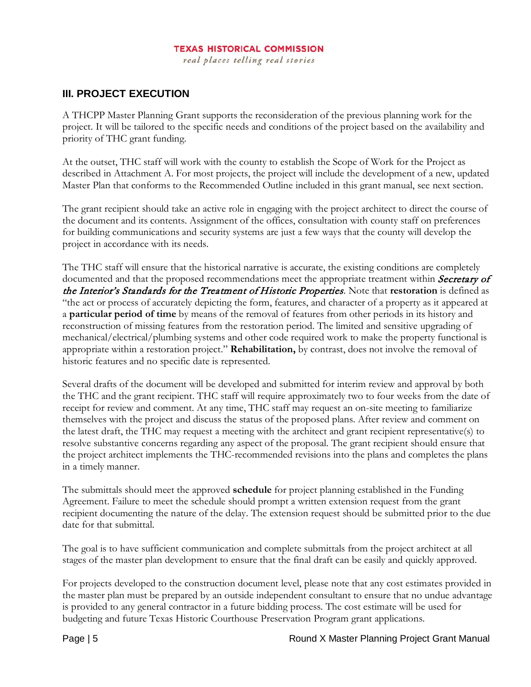real places telling real stories

## **III. PROJECT EXECUTION**

A THCPP Master Planning Grant supports the reconsideration of the previous planning work for the project. It will be tailored to the specific needs and conditions of the project based on the availability and priority of THC grant funding.

At the outset, THC staff will work with the county to establish the Scope of Work for the Project as described in Attachment A. For most projects, the project will include the development of a new, updated Master Plan that conforms to the Recommended Outline included in this grant manual, see next section.

The grant recipient should take an active role in engaging with the project architect to direct the course of the document and its contents. Assignment of the offices, consultation with county staff on preferences for building communications and security systems are just a few ways that the county will develop the project in accordance with its needs.

The THC staff will ensure that the historical narrative is accurate, the existing conditions are completely documented and that the proposed recommendations meet the appropriate treatment within Secretary of the Interior's Standards for the Treatment of Historic Properties. Note that **restoration** is defined as "the act or process of accurately depicting the form, features, and character of a property as it appeared at a **particular period of time** by means of the removal of features from other periods in its history and reconstruction of missing features from the restoration period. The limited and sensitive upgrading of mechanical/electrical/plumbing systems and other code required work to make the property functional is appropriate within a restoration project." **Rehabilitation,** by contrast, does not involve the removal of historic features and no specific date is represented.

Several drafts of the document will be developed and submitted for interim review and approval by both the THC and the grant recipient. THC staff will require approximately two to four weeks from the date of receipt for review and comment. At any time, THC staff may request an on-site meeting to familiarize themselves with the project and discuss the status of the proposed plans. After review and comment on the latest draft, the THC may request a meeting with the architect and grant recipient representative(s) to resolve substantive concerns regarding any aspect of the proposal. The grant recipient should ensure that the project architect implements the THC-recommended revisions into the plans and completes the plans in a timely manner.

The submittals should meet the approved **schedule** for project planning established in the Funding Agreement. Failure to meet the schedule should prompt a written extension request from the grant recipient documenting the nature of the delay. The extension request should be submitted prior to the due date for that submittal.

The goal is to have sufficient communication and complete submittals from the project architect at all stages of the master plan development to ensure that the final draft can be easily and quickly approved.

For projects developed to the construction document level, please note that any cost estimates provided in the master plan must be prepared by an outside independent consultant to ensure that no undue advantage is provided to any general contractor in a future bidding process. The cost estimate will be used for budgeting and future Texas Historic Courthouse Preservation Program grant applications.

Page | 5 **Page | 5** Round X Master Planning Project Grant Manual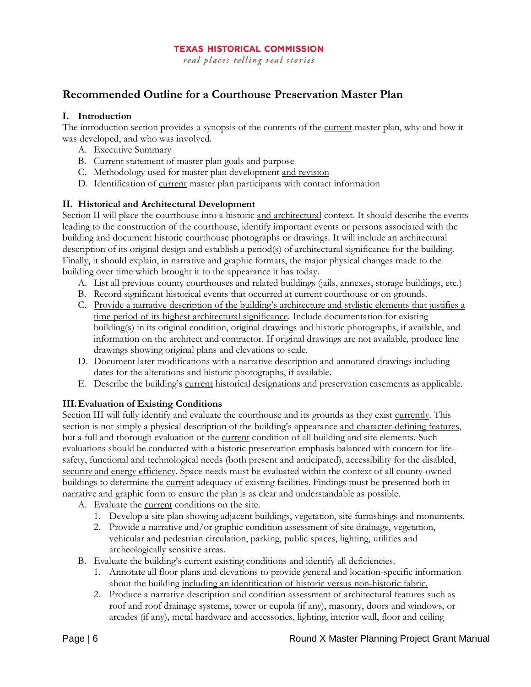real places telling real stories

## **Recommended Outline for a Courthouse Preservation Master Plan**

#### **I. Introduction**

The introduction section provides a synopsis of the contents of the current master plan, why and how it was developed, and who was involved.

- A. Executive Summary
- B. Current statement of master plan goals and purpose
- C. Methodology used for master plan development and revision
- D. Identification of current master plan participants with contact information

#### **II. Historical and Architectural Development**

Section II will place the courthouse into a historic and architectural context. It should describe the events leading to the construction of the courthouse, identify important events or persons associated with the building and document historic courthouse photographs or drawings. It will include an architectural description of its original design and establish a period(s) of architectural significance for the building. Finally, it should explain, in narrative and graphic formats, the major physical changes made to the building over time which brought it to the appearance it has today.

- A. List all previous county courthouses and related buildings (jails, annexes, storage buildings, etc.)
- B. Record significant historical events that occurred at current courthouse or on grounds.
- C. Provide a narrative description of the building's architecture and stylistic elements that justifies a time period of its highest architectural significance. Include documentation for existing building(s) in its original condition, original drawings and historic photographs, if available, and information on the architect and contractor. If original drawings are not available, produce line drawings showing original plans and elevations to scale.
- D. Document later modifications with a narrative description and annotated drawings including dates for the alterations and historic photographs, if available.
- E. Describe the building's current historical designations and preservation easements as applicable.

#### **III.Evaluation of Existing Conditions**

Section III will fully identify and evaluate the courthouse and its grounds as they exist currently. This section is not simply a physical description of the building's appearance and character-defining features, but a full and thorough evaluation of the current condition of all building and site elements. Such evaluations should be conducted with a historic preservation emphasis balanced with concern for lifesafety, functional and technological needs (both present and anticipated), accessibility for the disabled, security and energy efficiency. Space needs must be evaluated within the context of all county-owned buildings to determine the current adequacy of existing facilities. Findings must be presented both in narrative and graphic form to ensure the plan is as clear and understandable as possible.

- A. Evaluate the current conditions on the site.
	- 1. Develop a site plan showing adjacent buildings, vegetation, site furnishings and monuments.
	- 2. Provide a narrative and/or graphic condition assessment of site drainage, vegetation, vehicular and pedestrian circulation, parking, public spaces, lighting, utilities and archeologically sensitive areas.
- B. Evaluate the building's current existing conditions and identify all deficiencies.
	- 1. Annotate all floor plans and elevations to provide general and location-specific information about the building including an identification of historic versus non-historic fabric.
	- 2. Produce a narrative description and condition assessment of architectural features such as roof and roof drainage systems, tower or cupola (if any), masonry, doors and windows, or arcades (if any), metal hardware and accessories, lighting, interior wall, floor and ceiling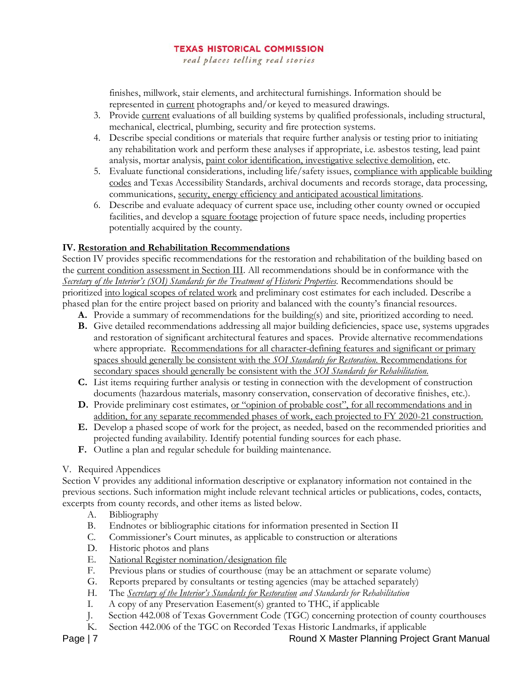real places telling real stories

finishes, millwork, stair elements, and architectural furnishings. Information should be represented in current photographs and/or keyed to measured drawings.

- 3. Provide current evaluations of all building systems by qualified professionals, including structural, mechanical, electrical, plumbing, security and fire protection systems.
- 4. Describe special conditions or materials that require further analysis or testing prior to initiating any rehabilitation work and perform these analyses if appropriate, i.e. asbestos testing, lead paint analysis, mortar analysis, paint color identification, investigative selective demolition, etc.
- 5. Evaluate functional considerations, including life/safety issues, compliance with applicable building codes and Texas Accessibility Standards, archival documents and records storage, data processing, communications, security, energy efficiency and anticipated acoustical limitations.
- 6. Describe and evaluate adequacy of current space use, including other county owned or occupied facilities, and develop a square footage projection of future space needs, including properties potentially acquired by the county.

#### **IV. Restoration and Rehabilitation Recommendations**

Section IV provides specific recommendations for the restoration and rehabilitation of the building based on the current condition assessment in Section III. All recommendations should be in conformance with the *Secretary of the Interior's (SOI) Standards for the Treatment of Historic Properties*. Recommendations should be prioritized into logical scopes of related work and preliminary cost estimates for each included. Describe a phased plan for the entire project based on priority and balanced with the county's financial resources.

- **A.** Provide a summary of recommendations for the building(s) and site, prioritized according to need.
- **B.** Give detailed recommendations addressing all major building deficiencies, space use, systems upgrades and restoration of significant architectural features and spaces. Provide alternative recommendations where appropriate. Recommendations for all character-defining features and significant or primary spaces should generally be consistent with the *SOI Standards for Restoration*. Recommendations for secondary spaces should generally be consistent with the *SOI Standards for Rehabilitation*.
- **C.** List items requiring further analysis or testing in connection with the development of construction documents (hazardous materials, masonry conservation, conservation of decorative finishes, etc.).
- **D.** Provide preliminary cost estimates, or "opinion of probable cost", for all recommendations and in addition, for any separate recommended phases of work, each projected to FY 2020-21 construction.
- **E.** Develop a phased scope of work for the project, as needed, based on the recommended priorities and projected funding availability. Identify potential funding sources for each phase.
- **F.** Outline a plan and regular schedule for building maintenance.

#### V. Required Appendices

Section V provides any additional information descriptive or explanatory information not contained in the previous sections. Such information might include relevant technical articles or publications, codes, contacts, excerpts from county records, and other items as listed below.

- A. Bibliography
- B. Endnotes or bibliographic citations for information presented in Section II
- C. Commissioner's Court minutes, as applicable to construction or alterations
- D. Historic photos and plans
- E. National Register nomination/designation file
- F. Previous plans or studies of courthouse (may be an attachment or separate volume)
- G. Reports prepared by consultants or testing agencies (may be attached separately)
- H. The *Secretary of the Interior's Standards for Restoration and Standards for Rehabilitation*
- I. A copy of any Preservation Easement(s) granted to THC, if applicable
- J. Section 442.008 of Texas Government Code (TGC) concerning protection of county courthouses
- K. Section 442.006 of the TGC on Recorded Texas Historic Landmarks, if applicable

Page | 7 **Page | 7** Round X Master Planning Project Grant Manual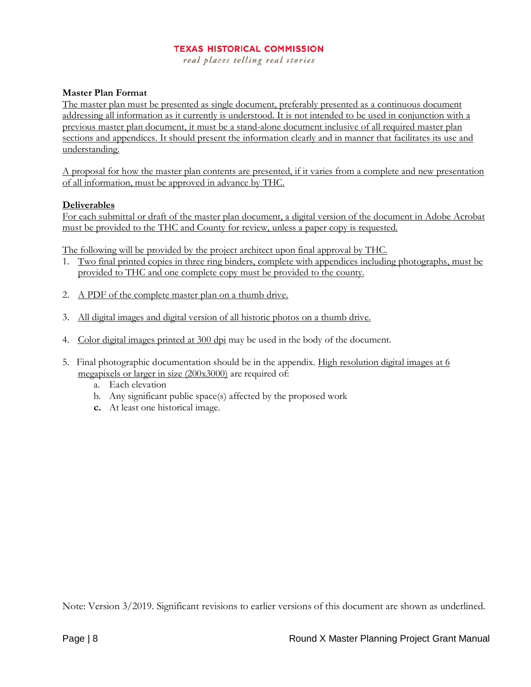real places telling real stories

#### **Master Plan Format**

The master plan must be presented as single document, preferably presented as a continuous document addressing all information as it currently is understood. It is not intended to be used in conjunction with a previous master plan document, it must be a stand-alone document inclusive of all required master plan sections and appendices. It should present the information clearly and in manner that facilitates its use and understanding.

A proposal for how the master plan contents are presented, if it varies from a complete and new presentation of all information, must be approved in advance by THC.

#### **Deliverables**

For each submittal or draft of the master plan document, a digital version of the document in Adobe Acrobat must be provided to the THC and County for review, unless a paper copy is requested.

The following will be provided by the project architect upon final approval by THC.

- 1. Two final printed copies in three ring binders, complete with appendices including photographs, must be provided to THC and one complete copy must be provided to the county.
- 2. A PDF of the complete master plan on a thumb drive.
- 3. All digital images and digital version of all historic photos on a thumb drive.
- 4. Color digital images printed at 300 dpi may be used in the body of the document.
- 5. Final photographic documentation should be in the appendix. High resolution digital images at 6 megapixels or larger in size (200x3000) are required of:
	- a. Each elevation
	- b. Any significant public space(s) affected by the proposed work
	- **c.** At least one historical image.

Note: Version 3/2019. Significant revisions to earlier versions of this document are shown as underlined.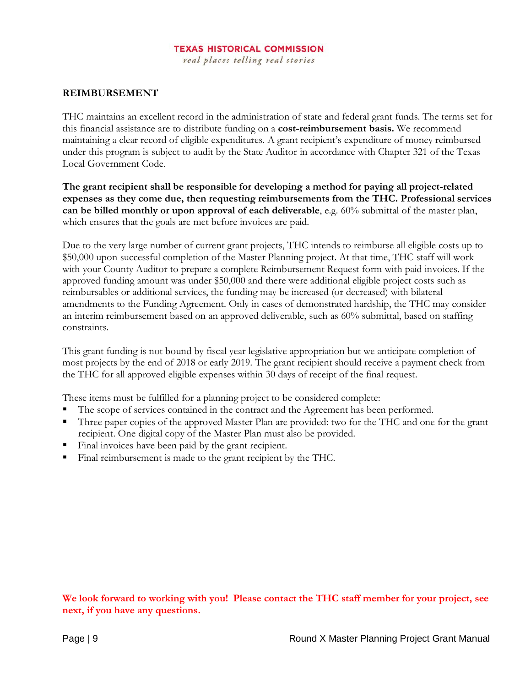real places telling real stories

#### **REIMBURSEMENT**

THC maintains an excellent record in the administration of state and federal grant funds. The terms set for this financial assistance are to distribute funding on a **cost-reimbursement basis.** We recommend maintaining a clear record of eligible expenditures. A grant recipient's expenditure of money reimbursed under this program is subject to audit by the State Auditor in accordance with Chapter 321 of the Texas Local Government Code.

**The grant recipient shall be responsible for developing a method for paying all project-related expenses as they come due, then requesting reimbursements from the THC. Professional services can be billed monthly or upon approval of each deliverable**, e.g. 60% submittal of the master plan, which ensures that the goals are met before invoices are paid.

Due to the very large number of current grant projects, THC intends to reimburse all eligible costs up to \$50,000 upon successful completion of the Master Planning project. At that time, THC staff will work with your County Auditor to prepare a complete Reimbursement Request form with paid invoices. If the approved funding amount was under \$50,000 and there were additional eligible project costs such as reimbursables or additional services, the funding may be increased (or decreased) with bilateral amendments to the Funding Agreement. Only in cases of demonstrated hardship, the THC may consider an interim reimbursement based on an approved deliverable, such as 60% submittal, based on staffing constraints.

This grant funding is not bound by fiscal year legislative appropriation but we anticipate completion of most projects by the end of 2018 or early 2019. The grant recipient should receive a payment check from the THC for all approved eligible expenses within 30 days of receipt of the final request.

These items must be fulfilled for a planning project to be considered complete:

- The scope of services contained in the contract and the Agreement has been performed.
- Three paper copies of the approved Master Plan are provided: two for the THC and one for the grant recipient. One digital copy of the Master Plan must also be provided.
- Final invoices have been paid by the grant recipient.
- Final reimbursement is made to the grant recipient by the THC.

**We look forward to working with you! Please contact the THC staff member for your project, see next, if you have any questions.**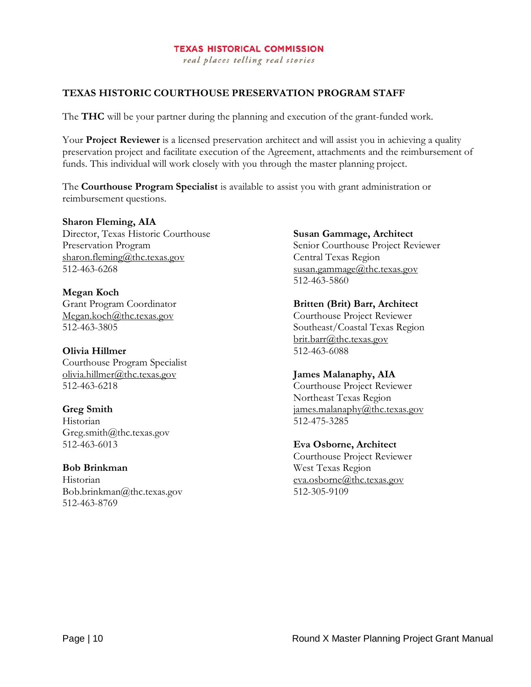real places telling real stories

## **TEXAS HISTORIC COURTHOUSE PRESERVATION PROGRAM STAFF**

The **THC** will be your partner during the planning and execution of the grant-funded work.

Your **Project Reviewer** is a licensed preservation architect and will assist you in achieving a quality preservation project and facilitate execution of the Agreement, attachments and the reimbursement of funds. This individual will work closely with you through the master planning project.

The **Courthouse Program Specialist** is available to assist you with grant administration or reimbursement questions.

**Sharon Fleming, AIA**  Director, Texas Historic Courthouse Preservation Program [sharon.fleming@thc.texas.gov](mailto:sharon.fleming@thc.texas.gov) 512-463-6268

**Megan Koch** Grant Program Coordinator [Megan.koch@thc.texas.gov](mailto:Megan.koch@thc.texas.gov) 512-463-3805

**Olivia Hillmer** Courthouse Program Specialist [olivia.hillmer@thc.texas.gov](mailto:olivia.hillmer@thc.texas.gov) 512-463-6218

## **Greg Smith**

Historian Greg.smith@thc.texas.gov 512-463-6013

#### **Bob Brinkman**

Historian Bob.brinkman@thc.texas.gov 512-463-8769

#### **Susan Gammage, Architect**

Senior Courthouse Project Reviewer Central Texas Region [susan.gammage@thc.texas.gov](mailto:susan.gammage@thc.texas.gov) 512-463-5860

#### **Britten (Brit) Barr, Architect**

Courthouse Project Reviewer Southeast/Coastal Texas Region [brit.barr@thc.texas.gov](mailto:brit.barr@thc.texas.gov) 512-463-6088

#### **James Malanaphy, AIA**

Courthouse Project Reviewer Northeast Texas Region [james.malanaphy@thc.texas.gov](mailto:james.malanaphy@thc.texas.gov) 512-475-3285

#### **Eva Osborne, Architect**

Courthouse Project Reviewer West Texas Region [eva.osborne@thc.texas.gov](mailto:eva.osborne@thc.texas.gov) 512-305-9109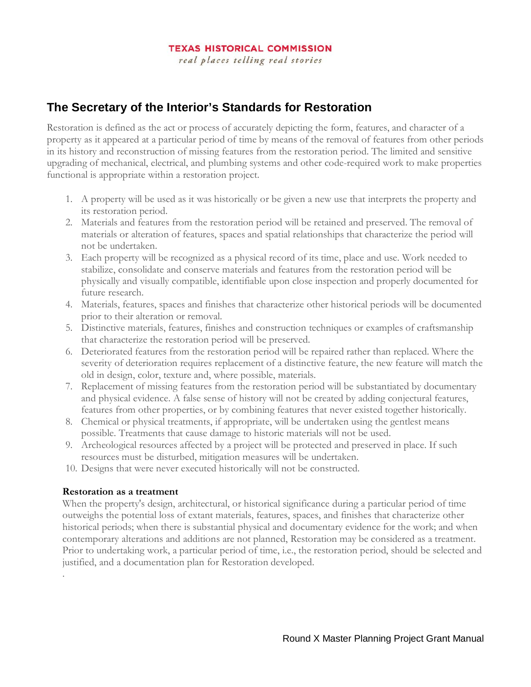real places telling real stories

# **The Secretary of the Interior's Standards for Restoration**

Restoration is defined as the act or process of accurately depicting the form, features, and character of a property as it appeared at a particular period of time by means of the removal of features from other periods in its history and reconstruction of missing features from the restoration period. The limited and sensitive upgrading of mechanical, electrical, and plumbing systems and other code-required work to make properties functional is appropriate within a restoration project.

- 1. A property will be used as it was historically or be given a new use that interprets the property and its restoration period.
- 2. Materials and features from the restoration period will be retained and preserved. The removal of materials or alteration of features, spaces and spatial relationships that characterize the period will not be undertaken.
- 3. Each property will be recognized as a physical record of its time, place and use. Work needed to stabilize, consolidate and conserve materials and features from the restoration period will be physically and visually compatible, identifiable upon close inspection and properly documented for future research.
- 4. Materials, features, spaces and finishes that characterize other historical periods will be documented prior to their alteration or removal.
- 5. Distinctive materials, features, finishes and construction techniques or examples of craftsmanship that characterize the restoration period will be preserved.
- 6. Deteriorated features from the restoration period will be repaired rather than replaced. Where the severity of deterioration requires replacement of a distinctive feature, the new feature will match the old in design, color, texture and, where possible, materials.
- 7. Replacement of missing features from the restoration period will be substantiated by documentary and physical evidence. A false sense of history will not be created by adding conjectural features, features from other properties, or by combining features that never existed together historically.
- 8. Chemical or physical treatments, if appropriate, will be undertaken using the gentlest means possible. Treatments that cause damage to historic materials will not be used.
- 9. Archeological resources affected by a project will be protected and preserved in place. If such resources must be disturbed, mitigation measures will be undertaken.
- 10. Designs that were never executed historically will not be constructed.

#### **Restoration as a treatment**

.

When the property's design, architectural, or historical significance during a particular period of time outweighs the potential loss of extant materials, features, spaces, and finishes that characterize other historical periods; when there is substantial physical and documentary evidence for the work; and when contemporary alterations and additions are not planned, Restoration may be considered as a treatment. Prior to undertaking work, a particular period of time, i.e., the restoration period, should be selected and justified, and a documentation plan for Restoration developed.